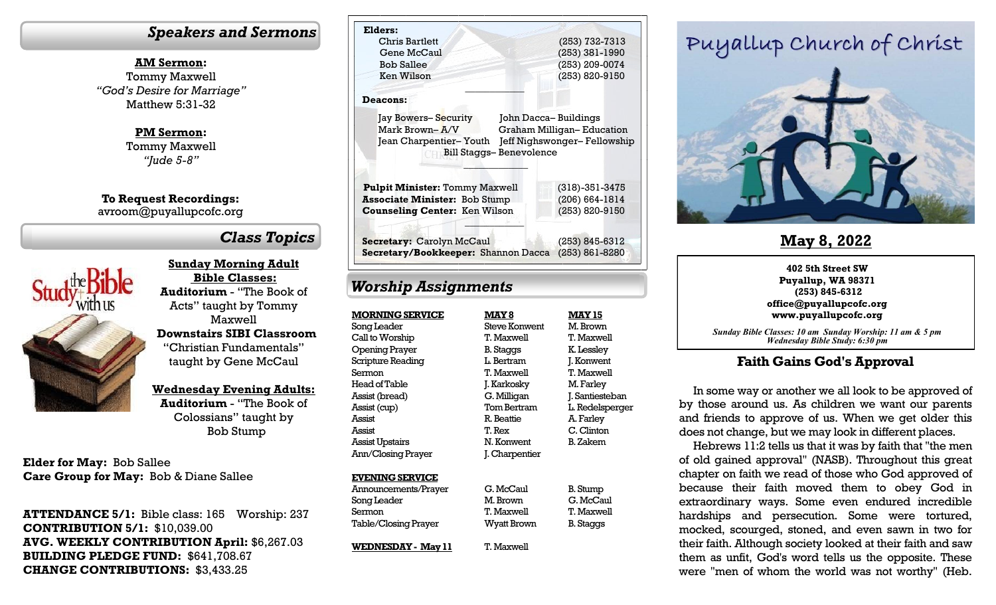#### *Speakers and Sermons*

**AM Sermon:** Tommy Maxwell *"God's Desire for Marriage"* Matthew 5:31-32

> **PM Sermon:** Tommy Maxwell *"Jude 5-8"*

**To Request Recordings:** avroom@puyallupcofc.org

# *Class Topics*



**Sunday Morning Adult Bible Classes: Auditorium** - "The Book of Acts" taught by Tommy Maxwell **Downstairs SIBI Classroom**  "Christian Fundamentals" taught by Gene McCaul

**Wednesday Evening Adults:** 

**Auditorium** - "The Book of Colossians" taught by Bob Stump

**Elder for May:** Bob Sallee **Care Group for May:** Bob & Diane Sallee

**ATTENDANCE 5/1:** Bible class: 165 Worship: 237 **CONTRIBUTION 5/1:** \$10,039.00 **AVG. WEEKLY CONTRIBUTION April:** \$6,267.03 **BUILDING PLEDGE FUND:** \$641,708.67 **CHANGE CONTRIBUTIONS:** \$3,433.25

| Elders:                                                   |                                               |
|-----------------------------------------------------------|-----------------------------------------------|
| Chris Bartlett                                            | (253) 732-7313                                |
| Gene McCaul                                               | $(253)$ 381-1990                              |
| <b>Bob Sallee</b>                                         | (253) 209-0074                                |
| Ken Wilson                                                | (253) 820-9150                                |
| <b>Deacons:</b>                                           |                                               |
| Jay Bowers– Security<br>John Dacca-Buildings              |                                               |
| Mark Brown-A/V                                            | <b>Graham Milligan-Education</b>              |
|                                                           |                                               |
| Jean Charpentier- Youth<br><b>Bill Staggs-Benevolence</b> |                                               |
| <b>Pulpit Minister: Tommy Maxwell</b>                     | $(318) - 351 - 3475$                          |
| <b>Associate Minister: Bob Stump</b>                      | $(206) 664 - 1814$                            |
| <b>Counseling Center: Ken Wilson</b>                      | Jeff Nighswonger-Fellowship<br>(253) 820-9150 |
| <b>Secretary: Carolyn McCaul</b>                          | (253) 845-6312                                |

## *Worship Assignments*

**WEDNESDAY - May 11**

| <b>MORNING SERVICE</b><br><b>MAY 8</b> | <b>MAY 15</b>    |
|----------------------------------------|------------------|
| Steve Konwent<br>Song Leader           | M. Brown         |
| Call to Worship<br>T. Maxwell          | T. Maxwell       |
| Opening Prayer<br>B. Staggs            | K. Lessley       |
| Scripture Reading<br>L. Bertram        | J. Konwent       |
| T. Maxwell<br>Sermon                   | T. Maxwell       |
| Head of Table<br>J. Karkosky           | M. Farley        |
| G. Milligan<br>Assist (bread)          | J. Santiesteban  |
| Tom Bertram<br>Assist (cup)            | L. Redelsperger  |
| Assist<br>R. Beattie                   | A. Farley        |
| Assist<br>T. Rex                       | C. Clinton       |
| N. Konwent<br>Assist Upstairs          | <b>B.</b> Zakem  |
| Ann/Closing Prayer<br>J. Charpentier   |                  |
| <b>EVENING SERVICE</b>                 |                  |
| G. McCaul<br>Announcements/Prayer      | B. Stump         |
| M. Brown<br>Song Leader                | G. McCaul        |
| T. Maxwell<br>Sermon                   | T. Maxwell       |
| Table/Closing Prayer<br>Wyatt Brown    | <b>B.</b> Staggs |

T. Maxwell

# Puyallup Church of Christ



# **May 8, 2022**

#### **402 5th Street SW Puyallup, WA 98371 (253) 845-6312 office@puyallupcofc.org www.puyallupcofc.org**

*Sunday Bible Classes: 10 am Sunday Worship: 11 am & 5 pm Wednesday Bible Study: 6:30 pm*

#### **Faith Gains God's Approval**

In some way or another we all look to be approved of by those around us. As children we want our parents and friends to approve of us. When we get older this does not change, but we may look in different places.

Hebrews 11:2 tells us that it was by faith that "the men of old gained approval" (NASB). Throughout this great chapter on faith we read of those who God approved of because their faith moved them to obey God in extraordinary ways. Some even endured incredible hardships and persecution. Some were tortured, mocked, scourged, stoned, and even sawn in two for their faith. Although society looked at their faith and saw them as unfit, God's word tells us the opposite. These were "men of whom the world was not worthy" (Heb.